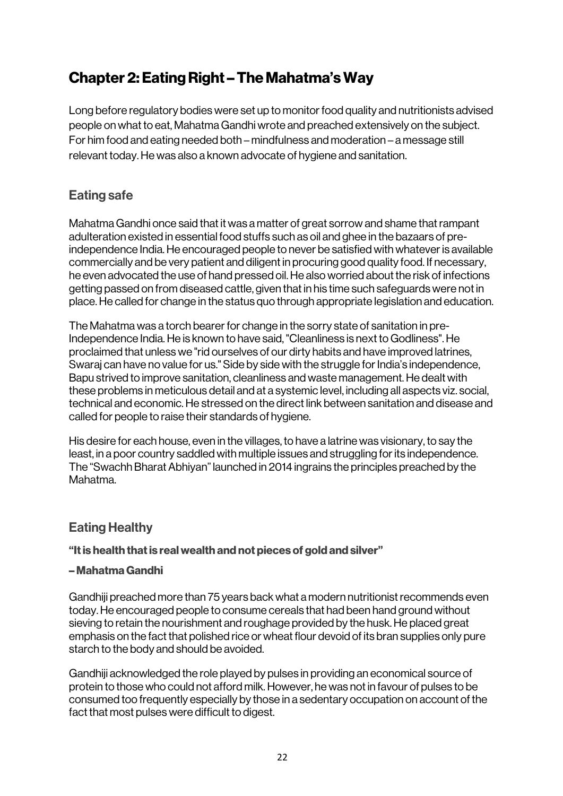# Chapter 2: Eating Right – The Mahatma's Way

Long before regulatory bodies were set up to monitor food quality and nutritionists advised people on what to eat, Mahatma Gandhi wrote and preached extensively on the subject. For him food and eating needed both – mindfulness and moderation – a message still relevant today. He was also a known advocate of hygiene and sanitation.

# Eating safe

Mahatma Gandhi once said that it was a matter of great sorrow and shame that rampant adulteration existed in essential food stuffs such as oil and ghee in the bazaars of preindependence India. He encouraged people to never be satisfied with whatever is available commercially and be very patient and diligent in procuring good quality food. If necessary, he even advocated the use of hand pressed oil. He also worried about the risk of infections getting passed on from diseased cattle, given that in his time such safeguards were not in place. He called for change in the status quo through appropriate legislation and education.

The Mahatma was a torch bearer for change in the sorry state of sanitation in pre-Independence India. He is known to have said, "Cleanliness is next to Godliness". He proclaimed that unless we "rid ourselves of our dirty habits and have improved latrines, Swaraj can have no value for us." Side by side with the struggle for India's independence, Bapu strived to improve sanitation, cleanliness and waste management. He dealt with these problems in meticulous detail and at a systemic level, including all aspects viz. social, technical and economic. He stressed on the direct link between sanitation and disease and called for people to raise their standards of hygiene.

His desire for each house, even in the villages, to have a latrine was visionary, to say the least, in a poor country saddled with multiple issues and struggling for its independence. The "Swachh Bharat Abhiyan" launched in 2014 ingrains the principles preached by the Mahatma.

## Eating Healthy

#### "It is health that is real wealth and not pieces of gold and silver"

#### – Mahatma Gandhi

Gandhiji preached more than 75 years back what a modern nutritionist recommends even today. He encouraged people to consume cereals that had been hand ground without sieving to retain the nourishment and roughage provided by the husk. He placed great emphasis on the fact that polished rice or wheat flour devoid of its bran supplies only pure starch to the body and should be avoided.

Gandhiji acknowledged the role played by pulses in providing an economical source of protein to those who could not afford milk. However, he was not in favour of pulses to be consumed too frequently especially by those in a sedentary occupation on account of the fact that most pulses were difficult to digest.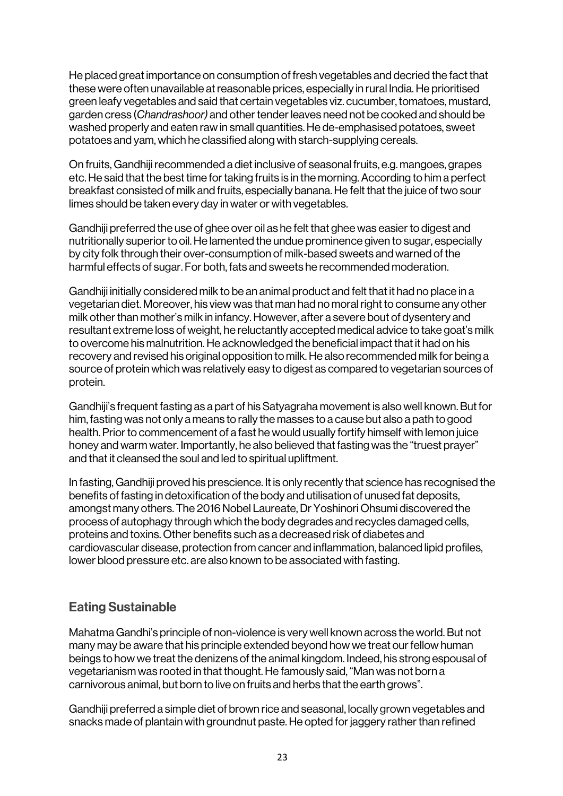He placed great importance on consumption of fresh vegetables and decried the fact that these were often unavailable at reasonable prices, especially in rural India. He prioritised green leafy vegetables and said that certain vegetables viz. cucumber, tomatoes, mustard, garden cress (*Chandrashoor)* and other tender leaves need not be cooked and should be washed properly and eaten raw in small quantities. He de-emphasised potatoes, sweet potatoes and yam, which he classified along with starch-supplying cereals.

On fruits, Gandhiji recommended a diet inclusive of seasonal fruits, e.g. mangoes, grapes etc. He said that the best time for taking fruits is in the morning. According to him a perfect breakfast consisted of milk and fruits, especially banana. He felt that the juice of two sour limes should be taken every day in water or with vegetables.

Gandhiji preferred the use of ghee over oil as he felt that ghee was easier to digest and nutritionally superior to oil. He lamented the undue prominence given to sugar, especially by city folk through their over-consumption of milk-based sweets and warned of the harmful effects of sugar. For both, fats and sweets he recommended moderation.

Gandhiji initially considered milk to be an animal product and felt that it had no place in a vegetarian diet. Moreover, his view was that man had no moral right to consume any other milk other than mother's milk in infancy. However, after a severe bout of dysentery and resultant extreme loss of weight, he reluctantly accepted medical advice to take goat's milk to overcome his malnutrition. He acknowledged the beneficial impact that it had on his recovery and revised his original opposition to milk. He also recommended milk for being a source of protein which was relatively easy to digest as compared to vegetarian sources of protein.

Gandhiji's frequent fasting as a part of his Satyagraha movement is also well known. But for him, fasting was not only a means to rally the masses to a cause but also a path to good health. Prior to commencement of a fast he would usually fortify himself with lemon juice honey and warm water. Importantly, he also believed that fasting was the "truest prayer" and that it cleansed the soul and led to spiritual upliftment.

In fasting, Gandhiji proved his prescience. It is only recently that science has recognised the benefits of fasting in detoxification of the body and utilisation of unused fat deposits, amongst many others. The 2016 Nobel Laureate, Dr Yoshinori Ohsumi discovered the process of autophagy through which the body degrades and recycles damaged cells, proteins and toxins. Other benefits such as a decreased risk of diabetes and cardiovascular disease, protection from cancer and inflammation, balanced lipid profiles, lower blood pressure etc. are also known to be associated with fasting.

## Eating Sustainable

Mahatma Gandhi's principle of non-violence is very well known across the world. But not many may be aware that his principle extended beyond how we treat our fellow human beings to how we treat the denizens of the animal kingdom. Indeed, his strong espousal of vegetarianism was rooted in that thought. He famously said, "Man was not born a carnivorous animal, but born to live on fruits and herbs that the earth grows".

Gandhiji preferred a simple diet of brown rice and seasonal, locally grown vegetables and snacks made of plantain with groundnut paste. He opted for jaggery rather than refined